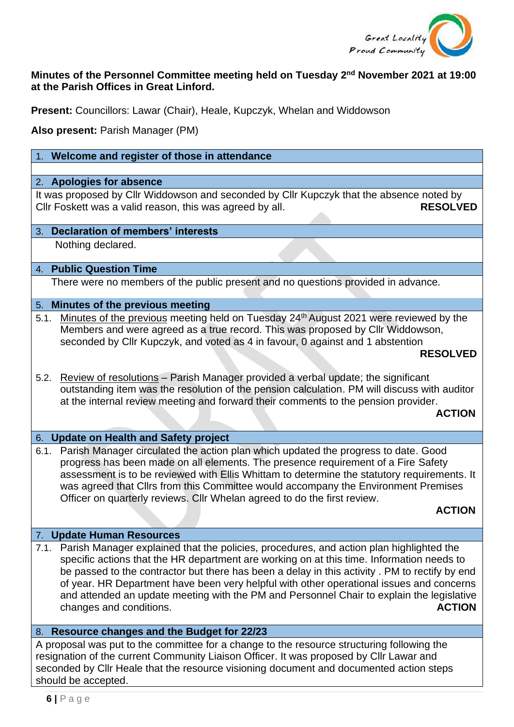

# **Minutes of the Personnel Committee meeting held on Tuesday 2<sup>nd</sup> November 2021 at 19:00 at the Parish Offices in Great Linford.**

**Present:** Councillors: Lawar (Chair), Heale, Kupczyk, Whelan and Widdowson

**Also present:** Parish Manager (PM)

## 1. **Welcome and register of those in attendance**

#### 2. **Apologies for absence**

It was proposed by Cllr Widdowson and seconded by Cllr Kupczyk that the absence noted by Cllr Foskett was a valid reason, this was agreed by all. **RESOLVED** 

#### 3. **Declaration of members' interests**

Nothing declared.

### 4. **Public Question Time**

There were no members of the public present and no questions provided in advance.

## 5. **Minutes of the previous meeting**

5.1. Minutes of the previous meeting held on Tuesday 24<sup>th</sup> August 2021 were reviewed by the Members and were agreed as a true record. This was proposed by Cllr Widdowson, seconded by Cllr Kupczyk, and voted as 4 in favour, 0 against and 1 abstention

### **RESOLVED**

5.2. Review of resolutions – Parish Manager provided a verbal update; the significant outstanding item was the resolution of the pension calculation. PM will discuss with auditor at the internal review meeting and forward their comments to the pension provider.

#### *ACTION*

#### 6. **Update on Health and Safety project**

6.1. Parish Manager circulated the action plan which updated the progress to date. Good progress has been made on all elements. The presence requirement of a Fire Safety assessment is to be reviewed with Ellis Whittam to determine the statutory requirements. It was agreed that Cllrs from this Committee would accompany the Environment Premises Officer on quarterly reviews. Cllr Whelan agreed to do the first review.

#### *ACTION*

### 7. **Update Human Resources**

7.1. Parish Manager explained that the policies, procedures, and action plan highlighted the specific actions that the HR department are working on at this time. Information needs to be passed to the contractor but there has been a delay in this activity . PM to rectify by end of year. HR Department have been very helpful with other operational issues and concerns and attended an update meeting with the PM and Personnel Chair to explain the legislative changes and conditions. **ACTION** 

### 8. **Resource changes and the Budget for 22/23**

A proposal was put to the committee for a change to the resource structuring following the resignation of the current Community Liaison Officer. It was proposed by Cllr Lawar and seconded by Cllr Heale that the resource visioning document and documented action steps should be accepted.